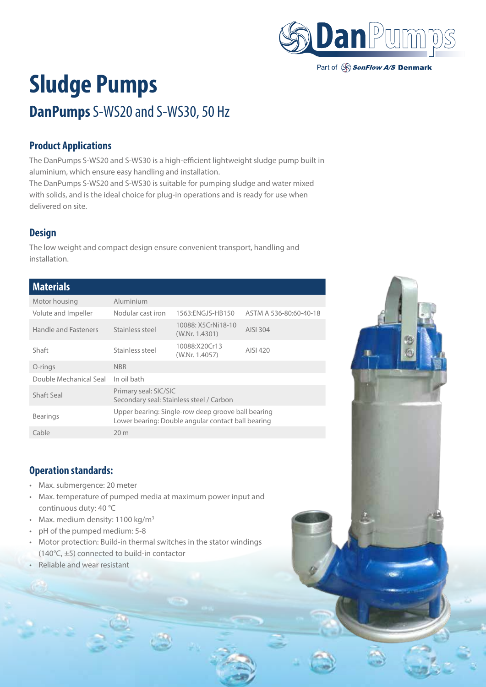

#### Part of SonFlow A/S Denmark

# **Sludge Pumps DanPumps** S-WS20 and S-WS30, 50 Hz

# **Product Applications**

The DanPumps S-WS20 and S-WS30 is a high-efficient lightweight sludge pump built in aluminium, which ensure easy handling and installation.

The DanPumps S-WS20 and S-WS30 is suitable for pumping sludge and water mixed with solids, and is the ideal choice for plug-in operations and is ready for use when delivered on site.

### **Design**

The low weight and compact design ensure convenient transport, handling and installation.

## **Materials**

| Motor housing          | Aluminium                                                                                                |                                      |                        |  |  |
|------------------------|----------------------------------------------------------------------------------------------------------|--------------------------------------|------------------------|--|--|
| Volute and Impeller    | Nodular cast iron                                                                                        | 1563:ENGJS-HB150                     | ASTM A 536-80:60-40-18 |  |  |
| Handle and Fasteners   | Stainless steel                                                                                          | 10088: X5CrNi18-10<br>(W.Nr. 1.4301) | AISI 304               |  |  |
| Shaft                  | Stainless steel                                                                                          | 10088:X20Cr13<br>(W.Nr. 1.4057)      | AISI 420               |  |  |
| O-rings                | <b>NBR</b>                                                                                               |                                      |                        |  |  |
| Double Mechanical Seal | In oil bath                                                                                              |                                      |                        |  |  |
| Shaft Seal             | Primary seal: SIC/SIC<br>Secondary seal: Stainless steel / Carbon                                        |                                      |                        |  |  |
| <b>Bearings</b>        | Upper bearing: Single-row deep groove ball bearing<br>Lower bearing: Double angular contact ball bearing |                                      |                        |  |  |
| Cable                  | 20 <sub>m</sub>                                                                                          |                                      |                        |  |  |

#### **Operation standards:**

- Max. submergence: 20 meter
- Max. temperature of pumped media at maximum power input and continuous duty: 40 °C
- Max. medium density:  $1100 \text{ kg/m}^3$
- pH of the pumped medium: 5-8
- Motor protection: Build-in thermal switches in the stator windings (140°C, ±5) connected to build-in contactor
- Reliable and wear resistant